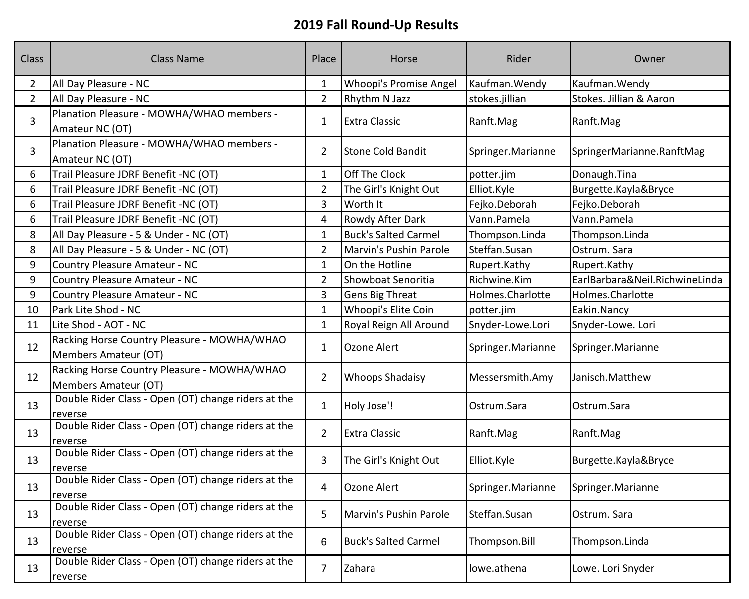| Class          | <b>Class Name</b>                                                   | Place          | Horse                         | Rider             | Owner                          |
|----------------|---------------------------------------------------------------------|----------------|-------------------------------|-------------------|--------------------------------|
| $\overline{2}$ | All Day Pleasure - NC                                               | $\mathbf{1}$   | <b>Whoopi's Promise Angel</b> | Kaufman. Wendy    | Kaufman. Wendy                 |
| $\overline{2}$ | All Day Pleasure - NC                                               | $\overline{2}$ | Rhythm N Jazz                 | stokes.jillian    | Stokes. Jillian & Aaron        |
| 3              | Planation Pleasure - MOWHA/WHAO members -<br>Amateur NC (OT)        | $\mathbf{1}$   | <b>Extra Classic</b>          | Ranft.Mag         | Ranft.Mag                      |
| $\overline{3}$ | Planation Pleasure - MOWHA/WHAO members -<br>Amateur NC (OT)        | $\overline{2}$ | <b>Stone Cold Bandit</b>      | Springer.Marianne | SpringerMarianne.RanftMag      |
| 6              | Trail Pleasure JDRF Benefit -NC (OT)                                | $\mathbf{1}$   | Off The Clock                 | potter.jim        | Donaugh.Tina                   |
| 6              | Trail Pleasure JDRF Benefit -NC (OT)                                | $\overline{2}$ | The Girl's Knight Out         | Elliot.Kyle       | Burgette.Kayla&Bryce           |
| 6              | Trail Pleasure JDRF Benefit -NC (OT)                                | 3              | Worth It                      | Fejko.Deborah     | Fejko.Deborah                  |
| 6              | Trail Pleasure JDRF Benefit -NC (OT)                                | $\overline{4}$ | Rowdy After Dark              | Vann.Pamela       | Vann.Pamela                    |
| 8              | All Day Pleasure - 5 & Under - NC (OT)                              | $\mathbf{1}$   | <b>Buck's Salted Carmel</b>   | Thompson.Linda    | Thompson.Linda                 |
| 8              | All Day Pleasure - 5 & Under - NC (OT)                              | $\overline{2}$ | Marvin's Pushin Parole        | Steffan.Susan     | Ostrum. Sara                   |
| 9              | Country Pleasure Amateur - NC                                       | $\mathbf{1}$   | On the Hotline                | Rupert.Kathy      | Rupert.Kathy                   |
| 9              | Country Pleasure Amateur - NC                                       | $\overline{2}$ | Showboat Senoritia            | Richwine.Kim      | EarlBarbara&Neil.RichwineLinda |
| 9              | Country Pleasure Amateur - NC                                       | 3              | <b>Gens Big Threat</b>        | Holmes.Charlotte  | Holmes.Charlotte               |
| 10             | Park Lite Shod - NC                                                 | $\mathbf{1}$   | Whoopi's Elite Coin           | potter.jim        | Eakin.Nancy                    |
| 11             | Lite Shod - AOT - NC                                                | $\mathbf{1}$   | Royal Reign All Around        | Snyder-Lowe.Lori  | Snyder-Lowe. Lori              |
| 12             | Racking Horse Country Pleasure - MOWHA/WHAO<br>Members Amateur (OT) | $\mathbf{1}$   | Ozone Alert                   | Springer.Marianne | Springer.Marianne              |
| 12             | Racking Horse Country Pleasure - MOWHA/WHAO<br>Members Amateur (OT) | $2^{\circ}$    | <b>Whoops Shadaisy</b>        | Messersmith.Amy   | Janisch.Matthew                |
| 13             | Double Rider Class - Open (OT) change riders at the<br>reverse      | $\mathbf{1}$   | Holy Jose'!                   | Ostrum.Sara       | Ostrum.Sara                    |
| 13             | Double Rider Class - Open (OT) change riders at the<br>reverse      | $2^{\circ}$    | <b>Extra Classic</b>          | Ranft.Mag         | Ranft.Mag                      |
| 13             | Double Rider Class - Open (OT) change riders at the<br>reverse      | 3              | The Girl's Knight Out         | Elliot.Kyle       | Burgette.Kayla&Bryce           |
| 13             | Double Rider Class - Open (OT) change riders at the<br>reverse      | $\overline{4}$ | Ozone Alert                   | Springer.Marianne | Springer.Marianne              |
| 13             | Double Rider Class - Open (OT) change riders at the<br>reverse      | 5              | Marvin's Pushin Parole        | Steffan.Susan     | Ostrum. Sara                   |
| 13             | Double Rider Class - Open (OT) change riders at the<br>reverse      | 6              | <b>Buck's Salted Carmel</b>   | Thompson.Bill     | Thompson.Linda                 |
| 13             | Double Rider Class - Open (OT) change riders at the<br>reverse      | $\overline{7}$ | <b>Zahara</b>                 | lowe.athena       | Lowe. Lori Snyder              |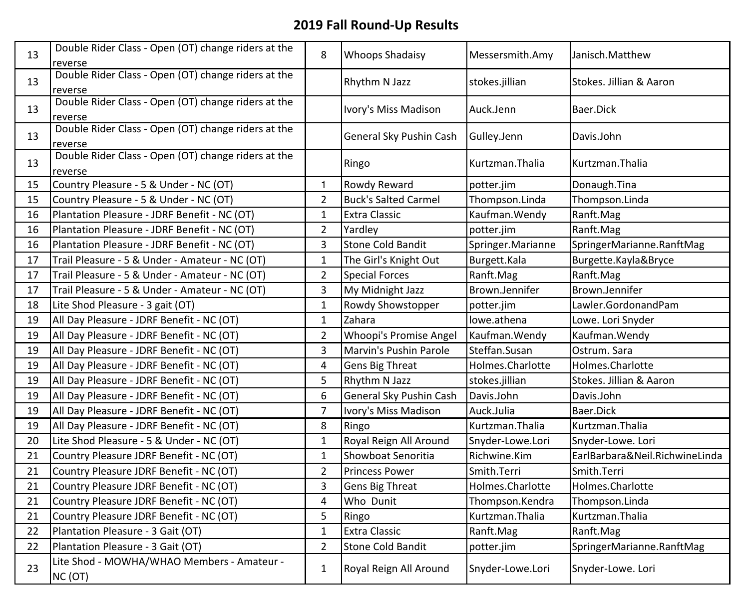| 13 | Double Rider Class - Open (OT) change riders at the<br>reverse | 8              | <b>Whoops Shadaisy</b>        | Messersmith.Amy   | Janisch.Matthew                |
|----|----------------------------------------------------------------|----------------|-------------------------------|-------------------|--------------------------------|
| 13 | Double Rider Class - Open (OT) change riders at the<br>reverse |                | Rhythm N Jazz                 | stokes.jillian    | Stokes. Jillian & Aaron        |
| 13 | Double Rider Class - Open (OT) change riders at the<br>reverse |                | Ivory's Miss Madison          | Auck.Jenn         | Baer.Dick                      |
| 13 | Double Rider Class - Open (OT) change riders at the<br>reverse |                | General Sky Pushin Cash       | Gulley.Jenn       | Davis.John                     |
| 13 | Double Rider Class - Open (OT) change riders at the<br>reverse |                | Ringo                         | Kurtzman. Thalia  | Kurtzman. Thalia               |
| 15 | Country Pleasure - 5 & Under - NC (OT)                         | $\mathbf{1}$   | Rowdy Reward                  | potter.jim        | Donaugh.Tina                   |
| 15 | Country Pleasure - 5 & Under - NC (OT)                         | $\overline{2}$ | <b>Buck's Salted Carmel</b>   | Thompson.Linda    | Thompson.Linda                 |
| 16 | Plantation Pleasure - JDRF Benefit - NC (OT)                   | $\mathbf{1}$   | <b>Extra Classic</b>          | Kaufman. Wendy    | Ranft.Mag                      |
| 16 | Plantation Pleasure - JDRF Benefit - NC (OT)                   | $\overline{2}$ | Yardley                       | potter.jim        | Ranft.Mag                      |
| 16 | Plantation Pleasure - JDRF Benefit - NC (OT)                   | $\overline{3}$ | <b>Stone Cold Bandit</b>      | Springer.Marianne | SpringerMarianne.RanftMag      |
| 17 | Trail Pleasure - 5 & Under - Amateur - NC (OT)                 | $\mathbf{1}$   | The Girl's Knight Out         | Burgett.Kala      | Burgette.Kayla&Bryce           |
| 17 | Trail Pleasure - 5 & Under - Amateur - NC (OT)                 | $\overline{2}$ | <b>Special Forces</b>         | Ranft.Mag         | Ranft.Mag                      |
| 17 | Trail Pleasure - 5 & Under - Amateur - NC (OT)                 | $\mathbf{3}$   | My Midnight Jazz              | Brown.Jennifer    | Brown.Jennifer                 |
| 18 | Lite Shod Pleasure - 3 gait (OT)                               | $\mathbf{1}$   | Rowdy Showstopper             | potter.jim        | Lawler.GordonandPam            |
| 19 | All Day Pleasure - JDRF Benefit - NC (OT)                      | $\mathbf 1$    | Zahara                        | lowe.athena       | Lowe. Lori Snyder              |
| 19 | All Day Pleasure - JDRF Benefit - NC (OT)                      | $\overline{2}$ | <b>Whoopi's Promise Angel</b> | Kaufman. Wendy    | Kaufman. Wendy                 |
| 19 | All Day Pleasure - JDRF Benefit - NC (OT)                      | 3              | Marvin's Pushin Parole        | Steffan.Susan     | Ostrum. Sara                   |
| 19 | All Day Pleasure - JDRF Benefit - NC (OT)                      | 4              | <b>Gens Big Threat</b>        | Holmes.Charlotte  | Holmes.Charlotte               |
| 19 | All Day Pleasure - JDRF Benefit - NC (OT)                      | 5              | Rhythm N Jazz                 | stokes.jillian    | Stokes. Jillian & Aaron        |
| 19 | All Day Pleasure - JDRF Benefit - NC (OT)                      | 6              | General Sky Pushin Cash       | Davis.John        | Davis.John                     |
| 19 | All Day Pleasure - JDRF Benefit - NC (OT)                      | $\overline{7}$ | Ivory's Miss Madison          | Auck.Julia        | Baer.Dick                      |
| 19 | All Day Pleasure - JDRF Benefit - NC (OT)                      | 8              | Ringo                         | Kurtzman.Thalia   | Kurtzman. Thalia               |
| 20 | Lite Shod Pleasure - 5 & Under - NC (OT)                       | $\mathbf{1}$   | Royal Reign All Around        | Snyder-Lowe.Lori  | Snyder-Lowe. Lori              |
| 21 | Country Pleasure JDRF Benefit - NC (OT)                        | $\mathbf 1$    | Showboat Senoritia            | Richwine.Kim      | EarlBarbara&Neil.RichwineLinda |
| 21 | Country Pleasure JDRF Benefit - NC (OT)                        | $\overline{2}$ | <b>Princess Power</b>         | Smith.Terri       | Smith.Terri                    |
| 21 | Country Pleasure JDRF Benefit - NC (OT)                        | $\overline{3}$ | Gens Big Threat               | Holmes.Charlotte  | Holmes.Charlotte               |
| 21 | Country Pleasure JDRF Benefit - NC (OT)                        | $\sqrt{4}$     | Who Dunit                     | Thompson.Kendra   | Thompson.Linda                 |
| 21 | Country Pleasure JDRF Benefit - NC (OT)                        | 5              | Ringo                         | Kurtzman.Thalia   | Kurtzman. Thalia               |
| 22 | Plantation Pleasure - 3 Gait (OT)                              | $\mathbf{1}$   | <b>Extra Classic</b>          | Ranft.Mag         | Ranft.Mag                      |
| 22 | Plantation Pleasure - 3 Gait (OT)                              | $\overline{2}$ | <b>Stone Cold Bandit</b>      | potter.jim        | SpringerMarianne.RanftMag      |
| 23 | Lite Shod - MOWHA/WHAO Members - Amateur -<br>NC (OT)          | $\mathbf{1}$   | Royal Reign All Around        | Snyder-Lowe.Lori  | Snyder-Lowe. Lori              |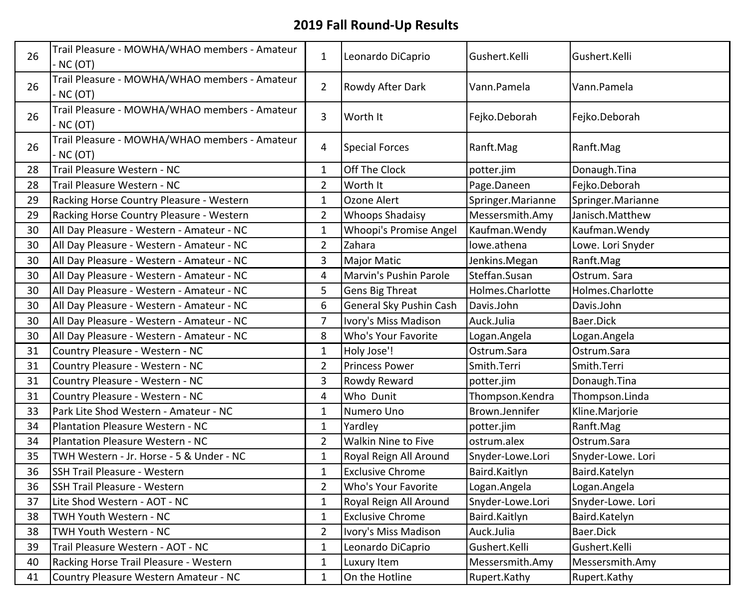| 26 | Trail Pleasure - MOWHA/WHAO members - Amateur<br>- NC (OT) | $\mathbf{1}$     | Leonardo DiCaprio          | Gushert.Kelli     | Gushert.Kelli     |
|----|------------------------------------------------------------|------------------|----------------------------|-------------------|-------------------|
| 26 | Trail Pleasure - MOWHA/WHAO members - Amateur<br>- NC (OT) | $\overline{2}$   | Rowdy After Dark           | Vann.Pamela       | Vann.Pamela       |
| 26 | Trail Pleasure - MOWHA/WHAO members - Amateur<br>- NC (OT) | 3                | Worth It                   | Fejko.Deborah     | Fejko.Deborah     |
| 26 | Trail Pleasure - MOWHA/WHAO members - Amateur<br>- NC (OT) | 4                | <b>Special Forces</b>      | Ranft.Mag         | Ranft.Mag         |
| 28 | Trail Pleasure Western - NC                                | $\mathbf{1}$     | Off The Clock              | potter.jim        | Donaugh.Tina      |
| 28 | Trail Pleasure Western - NC                                | $\overline{2}$   | Worth It                   | Page.Daneen       | Fejko.Deborah     |
| 29 | Racking Horse Country Pleasure - Western                   | $\mathbf{1}$     | Ozone Alert                | Springer.Marianne | Springer.Marianne |
| 29 | Racking Horse Country Pleasure - Western                   | $\overline{2}$   | <b>Whoops Shadaisy</b>     | Messersmith.Amy   | Janisch.Matthew   |
| 30 | All Day Pleasure - Western - Amateur - NC                  | $\mathbf{1}$     | Whoopi's Promise Angel     | Kaufman. Wendy    | Kaufman. Wendy    |
| 30 | All Day Pleasure - Western - Amateur - NC                  | $\overline{2}$   | Zahara                     | lowe.athena       | Lowe. Lori Snyder |
| 30 | All Day Pleasure - Western - Amateur - NC                  | 3                | <b>Major Matic</b>         | Jenkins.Megan     | Ranft.Mag         |
| 30 | All Day Pleasure - Western - Amateur - NC                  | 4                | Marvin's Pushin Parole     | Steffan.Susan     | Ostrum. Sara      |
| 30 | All Day Pleasure - Western - Amateur - NC                  | 5                | Gens Big Threat            | Holmes.Charlotte  | Holmes.Charlotte  |
| 30 | All Day Pleasure - Western - Amateur - NC                  | $\boldsymbol{6}$ | General Sky Pushin Cash    | Davis.John        | Davis.John        |
| 30 | All Day Pleasure - Western - Amateur - NC                  | $\overline{7}$   | Ivory's Miss Madison       | Auck.Julia        | Baer.Dick         |
| 30 | All Day Pleasure - Western - Amateur - NC                  | 8                | Who's Your Favorite        | Logan.Angela      | Logan. Angela     |
| 31 | Country Pleasure - Western - NC                            | $\mathbf{1}$     | Holy Jose'!                | Ostrum.Sara       | Ostrum.Sara       |
| 31 | Country Pleasure - Western - NC                            | $\overline{2}$   | <b>Princess Power</b>      | Smith.Terri       | Smith.Terri       |
| 31 | Country Pleasure - Western - NC                            | 3                | Rowdy Reward               | potter.jim        | Donaugh.Tina      |
| 31 | Country Pleasure - Western - NC                            | 4                | Who Dunit                  | Thompson.Kendra   | Thompson.Linda    |
| 33 | Park Lite Shod Western - Amateur - NC                      | $\mathbf{1}$     | Numero Uno                 | Brown.Jennifer    | Kline.Marjorie    |
| 34 | Plantation Pleasure Western - NC                           | $\mathbf{1}$     | Yardley                    | potter.jim        | Ranft.Mag         |
| 34 | Plantation Pleasure Western - NC                           | $\overline{2}$   | <b>Walkin Nine to Five</b> | ostrum.alex       | Ostrum.Sara       |
| 35 | TWH Western - Jr. Horse - 5 & Under - NC                   | $\mathbf{1}$     | Royal Reign All Around     | Snyder-Lowe.Lori  | Snyder-Lowe. Lori |
| 36 | <b>SSH Trail Pleasure - Western</b>                        | $\mathbf{1}$     | <b>Exclusive Chrome</b>    | Baird.Kaitlyn     | Baird.Katelyn     |
| 36 | SSH Trail Pleasure - Western                               | $\overline{2}$   | Who's Your Favorite        | Logan.Angela      | Logan. Angela     |
| 37 | Lite Shod Western - AOT - NC                               | $\mathbf{1}$     | Royal Reign All Around     | Snyder-Lowe.Lori  | Snyder-Lowe. Lori |
| 38 | TWH Youth Western - NC                                     | $\mathbf{1}$     | <b>Exclusive Chrome</b>    | Baird.Kaitlyn     | Baird.Katelyn     |
| 38 | <b>TWH Youth Western - NC</b>                              | $\overline{2}$   | Ivory's Miss Madison       | Auck.Julia        | Baer.Dick         |
| 39 | Trail Pleasure Western - AOT - NC                          | $\mathbf{1}$     | Leonardo DiCaprio          | Gushert.Kelli     | Gushert.Kelli     |
| 40 | Racking Horse Trail Pleasure - Western                     | $\mathbf{1}$     | Luxury Item                | Messersmith.Amy   | Messersmith.Amy   |
| 41 | Country Pleasure Western Amateur - NC                      | $\mathbf{1}$     | On the Hotline             | Rupert.Kathy      | Rupert.Kathy      |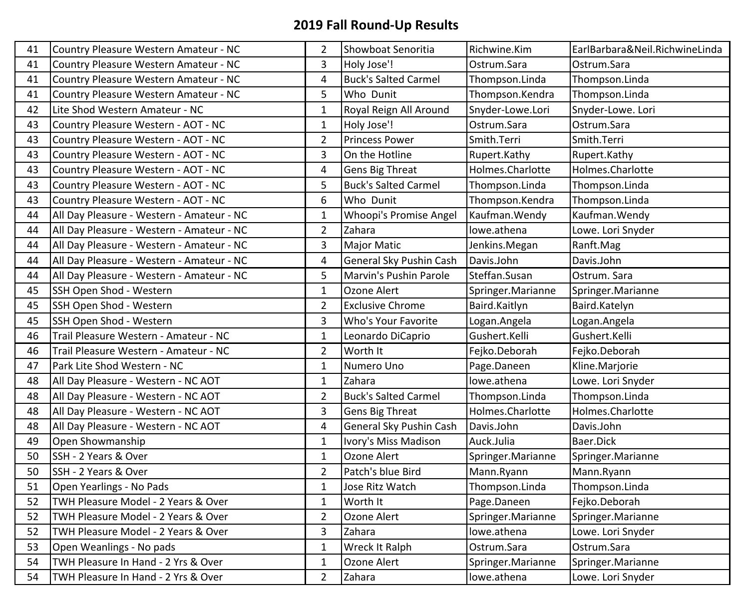| 41 | Country Pleasure Western Amateur - NC     | $\overline{2}$ | Showboat Senoritia          | Richwine.Kim      | EarlBarbara&Neil.RichwineLinda |
|----|-------------------------------------------|----------------|-----------------------------|-------------------|--------------------------------|
| 41 | Country Pleasure Western Amateur - NC     | 3              | Holy Jose'!                 | Ostrum.Sara       | Ostrum.Sara                    |
| 41 | Country Pleasure Western Amateur - NC     | 4              | <b>Buck's Salted Carmel</b> | Thompson.Linda    | Thompson.Linda                 |
| 41 | Country Pleasure Western Amateur - NC     | 5              | Who Dunit                   | Thompson.Kendra   | Thompson.Linda                 |
| 42 | Lite Shod Western Amateur - NC            | $\mathbf{1}$   | Royal Reign All Around      | Snyder-Lowe.Lori  | Snyder-Lowe. Lori              |
| 43 | Country Pleasure Western - AOT - NC       | $\mathbf{1}$   | Holy Jose'!                 | Ostrum.Sara       | Ostrum.Sara                    |
| 43 | Country Pleasure Western - AOT - NC       | $\overline{2}$ | <b>Princess Power</b>       | Smith.Terri       | Smith.Terri                    |
| 43 | Country Pleasure Western - AOT - NC       | 3              | On the Hotline              | Rupert.Kathy      | Rupert.Kathy                   |
| 43 | Country Pleasure Western - AOT - NC       | $\overline{4}$ | Gens Big Threat             | Holmes.Charlotte  | Holmes.Charlotte               |
| 43 | Country Pleasure Western - AOT - NC       | 5              | <b>Buck's Salted Carmel</b> | Thompson.Linda    | Thompson.Linda                 |
| 43 | Country Pleasure Western - AOT - NC       | 6              | Who Dunit                   | Thompson.Kendra   | Thompson.Linda                 |
| 44 | All Day Pleasure - Western - Amateur - NC | $\mathbf{1}$   | Whoopi's Promise Angel      | Kaufman. Wendy    | Kaufman. Wendy                 |
| 44 | All Day Pleasure - Western - Amateur - NC | $\overline{2}$ | Zahara                      | lowe.athena       | Lowe. Lori Snyder              |
| 44 | All Day Pleasure - Western - Amateur - NC | 3              | <b>Major Matic</b>          | Jenkins.Megan     | Ranft.Mag                      |
| 44 | All Day Pleasure - Western - Amateur - NC | 4              | General Sky Pushin Cash     | Davis.John        | Davis.John                     |
| 44 | All Day Pleasure - Western - Amateur - NC | 5              | Marvin's Pushin Parole      | Steffan.Susan     | Ostrum. Sara                   |
| 45 | SSH Open Shod - Western                   | $\mathbf 1$    | Ozone Alert                 | Springer.Marianne | Springer.Marianne              |
| 45 | SSH Open Shod - Western                   | $\overline{2}$ | <b>Exclusive Chrome</b>     | Baird.Kaitlyn     | Baird.Katelyn                  |
| 45 | SSH Open Shod - Western                   | 3              | Who's Your Favorite         | Logan.Angela      | Logan. Angela                  |
| 46 | Trail Pleasure Western - Amateur - NC     | $\mathbf{1}$   | Leonardo DiCaprio           | Gushert.Kelli     | Gushert.Kelli                  |
| 46 | Trail Pleasure Western - Amateur - NC     | $\overline{2}$ | Worth It                    | Fejko.Deborah     | Fejko.Deborah                  |
| 47 | Park Lite Shod Western - NC               | $\mathbf{1}$   | Numero Uno                  | Page.Daneen       | Kline.Marjorie                 |
| 48 | All Day Pleasure - Western - NC AOT       | $\mathbf 1$    | Zahara                      | lowe.athena       | Lowe. Lori Snyder              |
| 48 | All Day Pleasure - Western - NC AOT       | $\overline{2}$ | <b>Buck's Salted Carmel</b> | Thompson.Linda    | Thompson.Linda                 |
| 48 | All Day Pleasure - Western - NC AOT       | 3              | Gens Big Threat             | Holmes.Charlotte  | Holmes.Charlotte               |
| 48 | All Day Pleasure - Western - NC AOT       | $\overline{4}$ | General Sky Pushin Cash     | Davis.John        | Davis.John                     |
| 49 | Open Showmanship                          | $\mathbf{1}$   | Ivory's Miss Madison        | Auck.Julia        | Baer.Dick                      |
| 50 | SSH - 2 Years & Over                      | $\mathbf 1$    | Ozone Alert                 | Springer.Marianne | Springer.Marianne              |
| 50 | SSH - 2 Years & Over                      | $\overline{2}$ | Patch's blue Bird           | Mann.Ryann        | Mann.Ryann                     |
| 51 | Open Yearlings - No Pads                  | $\mathbf{1}$   | Jose Ritz Watch             | Thompson.Linda    | Thompson.Linda                 |
| 52 | TWH Pleasure Model - 2 Years & Over       | $\mathbf{1}$   | Worth It                    | Page.Daneen       | Fejko.Deborah                  |
| 52 | TWH Pleasure Model - 2 Years & Over       | $\overline{2}$ | Ozone Alert                 | Springer.Marianne | Springer.Marianne              |
| 52 | TWH Pleasure Model - 2 Years & Over       | 3              | Zahara                      | lowe.athena       | Lowe. Lori Snyder              |
| 53 | Open Weanlings - No pads                  | $\mathbf{1}$   | Wreck It Ralph              | Ostrum.Sara       | Ostrum.Sara                    |
| 54 | TWH Pleasure In Hand - 2 Yrs & Over       | $\mathbf{1}$   | Ozone Alert                 | Springer.Marianne | Springer.Marianne              |
| 54 | TWH Pleasure In Hand - 2 Yrs & Over       | $\overline{2}$ | Zahara                      | lowe.athena       | Lowe. Lori Snyder              |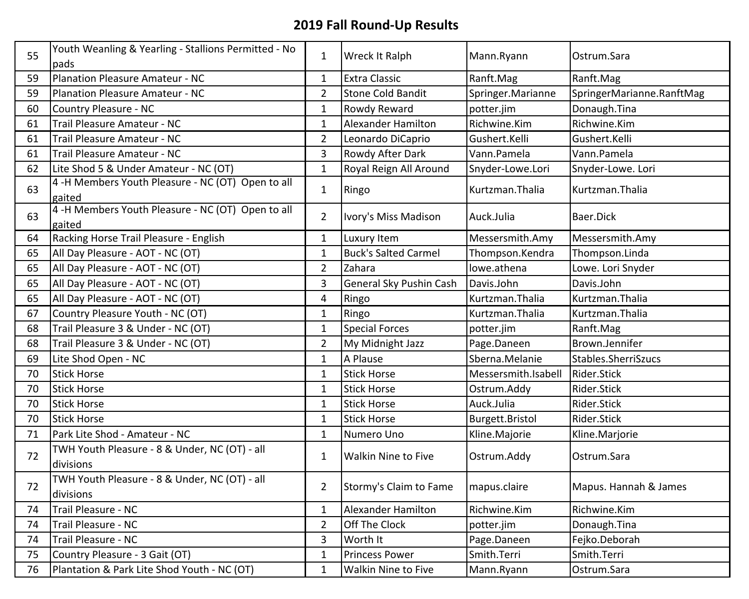| 55 | Youth Weanling & Yearling - Stallions Permitted - No        | $\mathbf{1}$   | Wreck It Ralph              | Mann.Ryann          | Ostrum.Sara               |
|----|-------------------------------------------------------------|----------------|-----------------------------|---------------------|---------------------------|
|    | pads                                                        |                |                             |                     |                           |
| 59 | Planation Pleasure Amateur - NC                             | $\mathbf{1}$   | <b>Extra Classic</b>        | Ranft.Mag           | Ranft.Mag                 |
| 59 | <b>Planation Pleasure Amateur - NC</b>                      | $\overline{2}$ | <b>Stone Cold Bandit</b>    | Springer.Marianne   | SpringerMarianne.RanftMag |
| 60 | Country Pleasure - NC                                       | $\mathbf{1}$   | Rowdy Reward                | potter.jim          | Donaugh.Tina              |
| 61 | Trail Pleasure Amateur - NC                                 | $\mathbf{1}$   | <b>Alexander Hamilton</b>   | Richwine.Kim        | Richwine.Kim              |
| 61 | Trail Pleasure Amateur - NC                                 | $\overline{2}$ | Leonardo DiCaprio           | Gushert.Kelli       | Gushert.Kelli             |
| 61 | Trail Pleasure Amateur - NC                                 | 3              | Rowdy After Dark            | Vann.Pamela         | Vann.Pamela               |
| 62 | Lite Shod 5 & Under Amateur - NC (OT)                       | $\mathbf{1}$   | Royal Reign All Around      | Snyder-Lowe.Lori    | Snyder-Lowe. Lori         |
| 63 | 4 -H Members Youth Pleasure - NC (OT) Open to all           | $\mathbf{1}$   | Ringo                       | Kurtzman.Thalia     | Kurtzman. Thalia          |
|    | gaited<br>4 -H Members Youth Pleasure - NC (OT) Open to all |                |                             |                     |                           |
| 63 | gaited                                                      | $\overline{2}$ | Ivory's Miss Madison        | Auck.Julia          | Baer.Dick                 |
| 64 | Racking Horse Trail Pleasure - English                      | $\mathbf{1}$   | Luxury Item                 | Messersmith.Amy     | Messersmith.Amy           |
| 65 | All Day Pleasure - AOT - NC (OT)                            | $\mathbf{1}$   | <b>Buck's Salted Carmel</b> | Thompson.Kendra     | Thompson.Linda            |
| 65 | All Day Pleasure - AOT - NC (OT)                            | $\overline{2}$ | Zahara                      | lowe.athena         | Lowe. Lori Snyder         |
| 65 | All Day Pleasure - AOT - NC (OT)                            | 3              | General Sky Pushin Cash     | Davis.John          | Davis.John                |
| 65 | All Day Pleasure - AOT - NC (OT)                            | 4              | Ringo                       | Kurtzman. Thalia    | Kurtzman. Thalia          |
| 67 | Country Pleasure Youth - NC (OT)                            | $\mathbf{1}$   | Ringo                       | Kurtzman. Thalia    | Kurtzman. Thalia          |
| 68 | Trail Pleasure 3 & Under - NC (OT)                          | $\mathbf{1}$   | <b>Special Forces</b>       | potter.jim          | Ranft.Mag                 |
| 68 | Trail Pleasure 3 & Under - NC (OT)                          | $\overline{2}$ | My Midnight Jazz            | Page.Daneen         | Brown.Jennifer            |
| 69 | Lite Shod Open - NC                                         | $\mathbf{1}$   | A Plause                    | Sberna.Melanie      | Stables.SherriSzucs       |
| 70 | <b>Stick Horse</b>                                          | $\mathbf{1}$   | <b>Stick Horse</b>          | Messersmith.Isabell | Rider.Stick               |
| 70 | <b>Stick Horse</b>                                          | $\mathbf{1}$   | <b>Stick Horse</b>          | Ostrum.Addy         | Rider.Stick               |
| 70 | <b>Stick Horse</b>                                          | $\mathbf{1}$   | <b>Stick Horse</b>          | Auck.Julia          | Rider.Stick               |
| 70 | <b>Stick Horse</b>                                          | $\mathbf{1}$   | <b>Stick Horse</b>          | Burgett.Bristol     | Rider.Stick               |
| 71 | Park Lite Shod - Amateur - NC                               | $\mathbf{1}$   | Numero Uno                  | Kline.Majorie       | Kline.Marjorie            |
| 72 | TWH Youth Pleasure - 8 & Under, NC (OT) - all<br>divisions  | $\mathbf{1}$   | <b>Walkin Nine to Five</b>  | Ostrum.Addy         | Ostrum.Sara               |
| 72 | TWH Youth Pleasure - 8 & Under, NC (OT) - all<br>divisions  | $\overline{2}$ | Stormy's Claim to Fame      | mapus.claire        | Mapus. Hannah & James     |
| 74 | Trail Pleasure - NC                                         | $\mathbf{1}$   | <b>Alexander Hamilton</b>   | Richwine.Kim        | Richwine.Kim              |
| 74 | <b>Trail Pleasure - NC</b>                                  | $\overline{2}$ | Off The Clock               | potter.jim          | Donaugh.Tina              |
| 74 | Trail Pleasure - NC                                         | 3              | Worth It                    | Page.Daneen         | Fejko.Deborah             |
| 75 | Country Pleasure - 3 Gait (OT)                              | $\mathbf{1}$   | <b>Princess Power</b>       | Smith.Terri         | Smith.Terri               |
| 76 | Plantation & Park Lite Shod Youth - NC (OT)                 | $\mathbf{1}$   | Walkin Nine to Five         | Mann.Ryann          | Ostrum.Sara               |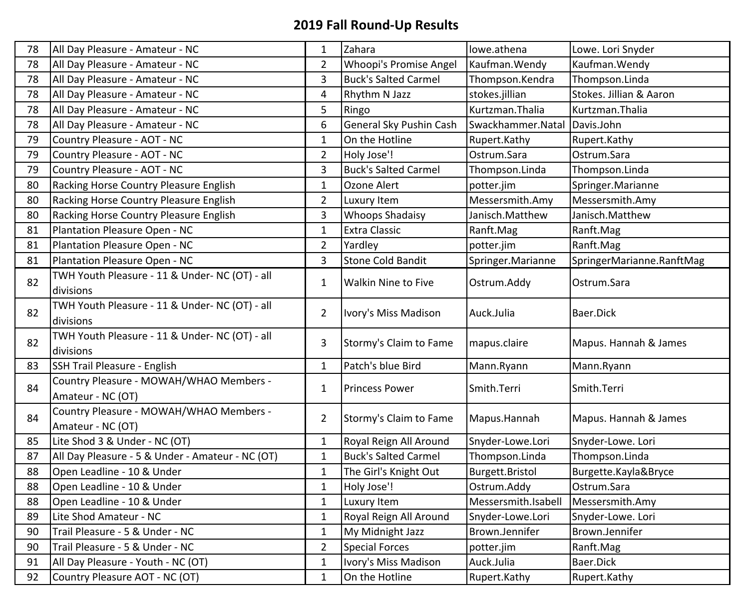| 78 | All Day Pleasure - Amateur - NC                  | $\mathbf 1$             | Zahara                        | lowe.athena         | Lowe. Lori Snyder         |
|----|--------------------------------------------------|-------------------------|-------------------------------|---------------------|---------------------------|
| 78 | All Day Pleasure - Amateur - NC                  | $\overline{2}$          | <b>Whoopi's Promise Angel</b> | Kaufman. Wendy      | Kaufman. Wendy            |
| 78 | All Day Pleasure - Amateur - NC                  | $\mathsf 3$             | <b>Buck's Salted Carmel</b>   | Thompson.Kendra     | Thompson.Linda            |
| 78 | All Day Pleasure - Amateur - NC                  | $\pmb{4}$               | Rhythm N Jazz                 | stokes.jillian      | Stokes. Jillian & Aaron   |
| 78 | All Day Pleasure - Amateur - NC                  | 5                       | Ringo                         | Kurtzman.Thalia     | Kurtzman.Thalia           |
| 78 | All Day Pleasure - Amateur - NC                  | 6                       | General Sky Pushin Cash       | Swackhammer.Natal   | Davis.John                |
| 79 | Country Pleasure - AOT - NC                      | $\mathbf 1$             | On the Hotline                | Rupert.Kathy        | Rupert.Kathy              |
| 79 | Country Pleasure - AOT - NC                      | $\overline{2}$          | Holy Jose'!                   | Ostrum.Sara         | Ostrum.Sara               |
| 79 | Country Pleasure - AOT - NC                      | $\overline{3}$          | <b>Buck's Salted Carmel</b>   | Thompson.Linda      | Thompson.Linda            |
| 80 | Racking Horse Country Pleasure English           | $\mathbf{1}$            | Ozone Alert                   | potter.jim          | Springer.Marianne         |
| 80 | Racking Horse Country Pleasure English           | $\overline{2}$          | Luxury Item                   | Messersmith.Amy     | Messersmith.Amy           |
| 80 | Racking Horse Country Pleasure English           | 3                       | <b>Whoops Shadaisy</b>        | Janisch.Matthew     | Janisch.Matthew           |
| 81 | Plantation Pleasure Open - NC                    | $\mathbf 1$             | <b>Extra Classic</b>          | Ranft.Mag           | Ranft.Mag                 |
| 81 | Plantation Pleasure Open - NC                    | $\overline{2}$          | Yardley                       | potter.jim          | Ranft.Mag                 |
| 81 | Plantation Pleasure Open - NC                    | $\overline{\mathbf{3}}$ | Stone Cold Bandit             | Springer.Marianne   | SpringerMarianne.RanftMag |
| 82 | TWH Youth Pleasure - 11 & Under- NC (OT) - all   | $\mathbf{1}$            | <b>Walkin Nine to Five</b>    | Ostrum.Addy         | Ostrum. Sara              |
|    | divisions                                        |                         |                               |                     |                           |
| 82 | TWH Youth Pleasure - 11 & Under- NC (OT) - all   | $\overline{2}$          | Ivory's Miss Madison          | Auck.Julia          | Baer.Dick                 |
|    | divisions                                        |                         |                               |                     |                           |
| 82 | TWH Youth Pleasure - 11 & Under- NC (OT) - all   | 3                       | Stormy's Claim to Fame        | mapus.claire        | Mapus. Hannah & James     |
|    | divisions                                        |                         |                               |                     |                           |
| 83 | SSH Trail Pleasure - English                     | $\mathbf{1}$            | Patch's blue Bird             | Mann.Ryann          | Mann.Ryann                |
| 84 | Country Pleasure - MOWAH/WHAO Members -          | $1\,$                   | <b>Princess Power</b>         | Smith.Terri         | Smith.Terri               |
|    | Amateur - NC (OT)                                |                         |                               |                     |                           |
| 84 | Country Pleasure - MOWAH/WHAO Members -          | $\overline{2}$          | Stormy's Claim to Fame        | Mapus.Hannah        | Mapus. Hannah & James     |
|    | Amateur - NC (OT)                                |                         |                               |                     |                           |
| 85 | Lite Shod 3 & Under - NC (OT)                    | $\mathbf{1}$            | Royal Reign All Around        | Snyder-Lowe.Lori    | Snyder-Lowe. Lori         |
| 87 | All Day Pleasure - 5 & Under - Amateur - NC (OT) | $\mathbf 1$             | <b>Buck's Salted Carmel</b>   | Thompson.Linda      | Thompson.Linda            |
| 88 | Open Leadline - 10 & Under                       | $\mathbf 1$             | The Girl's Knight Out         | Burgett.Bristol     | Burgette.Kayla&Bryce      |
| 88 | Open Leadline - 10 & Under                       | $\mathbf{1}$            | Holy Jose'!                   | Ostrum.Addy         | Ostrum.Sara               |
| 88 | Open Leadline - 10 & Under                       | $\mathbf 1$             | Luxury Item                   | Messersmith.Isabell | Messersmith.Amy           |
| 89 | Lite Shod Amateur - NC                           | $\mathbf 1$             | Royal Reign All Around        | Snyder-Lowe.Lori    | Snyder-Lowe. Lori         |
| 90 | Trail Pleasure - 5 & Under - NC                  | $\mathbf 1$             | My Midnight Jazz              | Brown.Jennifer      | Brown.Jennifer            |
| 90 | Trail Pleasure - 5 & Under - NC                  | $\overline{2}$          | <b>Special Forces</b>         | potter.jim          | Ranft.Mag                 |
| 91 | All Day Pleasure - Youth - NC (OT)               | $\mathbf 1$             | Ivory's Miss Madison          | Auck.Julia          | Baer.Dick                 |
| 92 | Country Pleasure AOT - NC (OT)                   | $\mathbf{1}$            | On the Hotline                | Rupert.Kathy        | Rupert.Kathy              |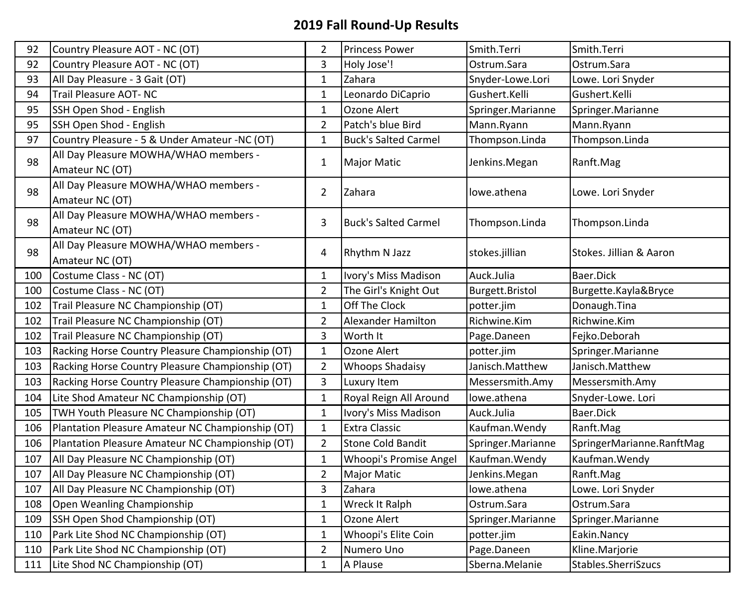| 92  | Country Pleasure AOT - NC (OT)                           | $\overline{2}$ | <b>Princess Power</b>       | Smith.Terri       | Smith.Terri               |
|-----|----------------------------------------------------------|----------------|-----------------------------|-------------------|---------------------------|
| 92  | Country Pleasure AOT - NC (OT)                           | 3              | Holy Jose'!                 | Ostrum.Sara       | Ostrum.Sara               |
| 93  | All Day Pleasure - 3 Gait (OT)                           | $\mathbf 1$    | Zahara                      | Snyder-Lowe.Lori  | Lowe. Lori Snyder         |
| 94  | Trail Pleasure AOT- NC                                   | $\mathbf{1}$   | Leonardo DiCaprio           | Gushert.Kelli     | Gushert.Kelli             |
| 95  | SSH Open Shod - English                                  | $\mathbf 1$    | Ozone Alert                 | Springer.Marianne | Springer.Marianne         |
| 95  | SSH Open Shod - English                                  | $\overline{2}$ | Patch's blue Bird           | Mann.Ryann        | Mann.Ryann                |
| 97  | Country Pleasure - 5 & Under Amateur - NC (OT)           | $\mathbf 1$    | <b>Buck's Salted Carmel</b> | Thompson.Linda    | Thompson.Linda            |
| 98  | All Day Pleasure MOWHA/WHAO members -<br>Amateur NC (OT) | $\mathbf 1$    | Major Matic                 | Jenkins.Megan     | Ranft.Mag                 |
| 98  | All Day Pleasure MOWHA/WHAO members -<br>Amateur NC (OT) | $\overline{2}$ | Zahara                      | lowe.athena       | Lowe. Lori Snyder         |
| 98  | All Day Pleasure MOWHA/WHAO members -<br>Amateur NC (OT) | 3              | <b>Buck's Salted Carmel</b> | Thompson.Linda    | Thompson.Linda            |
| 98  | All Day Pleasure MOWHA/WHAO members -<br>Amateur NC (OT) | 4              | Rhythm N Jazz               | stokes.jillian    | Stokes. Jillian & Aaron   |
| 100 | Costume Class - NC (OT)                                  | $\mathbf{1}$   | Ivory's Miss Madison        | Auck.Julia        | Baer.Dick                 |
| 100 | Costume Class - NC (OT)                                  | $\overline{2}$ | The Girl's Knight Out       | Burgett.Bristol   | Burgette.Kayla&Bryce      |
| 102 | Trail Pleasure NC Championship (OT)                      | $\mathbf{1}$   | Off The Clock               | potter.jim        | Donaugh.Tina              |
| 102 | Trail Pleasure NC Championship (OT)                      | $\mathbf 2$    | Alexander Hamilton          | Richwine.Kim      | Richwine.Kim              |
| 102 | Trail Pleasure NC Championship (OT)                      | 3              | Worth It                    | Page.Daneen       | Fejko.Deborah             |
| 103 | Racking Horse Country Pleasure Championship (OT)         | $\mathbf 1$    | Ozone Alert                 | potter.jim        | Springer.Marianne         |
| 103 | Racking Horse Country Pleasure Championship (OT)         | $\overline{2}$ | <b>Whoops Shadaisy</b>      | Janisch.Matthew   | Janisch.Matthew           |
| 103 | Racking Horse Country Pleasure Championship (OT)         | 3              | Luxury Item                 | Messersmith.Amy   | Messersmith.Amy           |
| 104 | Lite Shod Amateur NC Championship (OT)                   | $\mathbf 1$    | Royal Reign All Around      | lowe.athena       | Snyder-Lowe. Lori         |
| 105 | TWH Youth Pleasure NC Championship (OT)                  | $\mathbf{1}$   | Ivory's Miss Madison        | Auck.Julia        | Baer.Dick                 |
| 106 | Plantation Pleasure Amateur NC Championship (OT)         | $\mathbf 1$    | <b>Extra Classic</b>        | Kaufman. Wendy    | Ranft.Mag                 |
| 106 | Plantation Pleasure Amateur NC Championship (OT)         | $\overline{2}$ | <b>Stone Cold Bandit</b>    | Springer.Marianne | SpringerMarianne.RanftMag |
| 107 | All Day Pleasure NC Championship (OT)                    | $\mathbf 1$    | Whoopi's Promise Angel      | Kaufman. Wendy    | Kaufman. Wendy            |
| 107 | All Day Pleasure NC Championship (OT)                    | $\overline{2}$ | Major Matic                 | Jenkins.Megan     | Ranft.Mag                 |
| 107 | All Day Pleasure NC Championship (OT)                    | $\overline{3}$ | Zahara                      | lowe.athena       | Lowe. Lori Snyder         |
| 108 | Open Weanling Championship                               | $\mathbf 1$    | Wreck It Ralph              | Ostrum.Sara       | Ostrum.Sara               |
| 109 | SSH Open Shod Championship (OT)                          | $\mathbf{1}$   | Ozone Alert                 | Springer.Marianne | Springer.Marianne         |
| 110 | Park Lite Shod NC Championship (OT)                      | $\mathbf 1$    | Whoopi's Elite Coin         | potter.jim        | Eakin.Nancy               |
| 110 | Park Lite Shod NC Championship (OT)                      | $\overline{2}$ | Numero Uno                  | Page.Daneen       | Kline.Marjorie            |
| 111 | Lite Shod NC Championship (OT)                           | $\mathbf 1$    | A Plause                    | Sberna.Melanie    | Stables.SherriSzucs       |